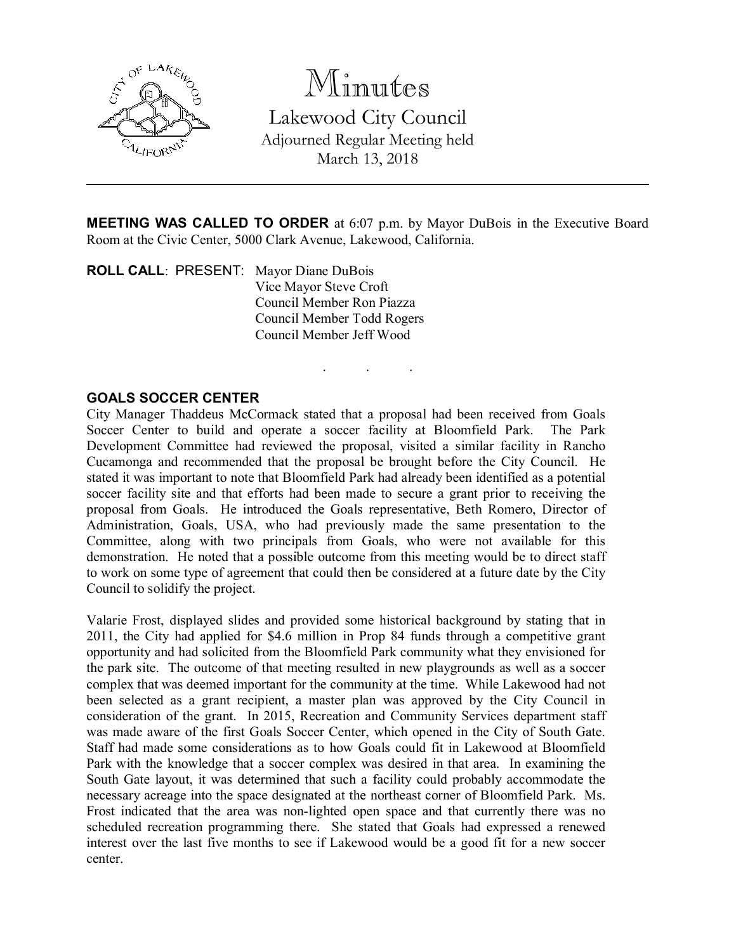

Minutes Lakewood City Council Adjourned Regular Meeting held March 13, 2018

**MEETING WAS CALLED TO ORDER** at 6:07 p.m. by Mayor DuBois in the Executive Board Room at the Civic Center, 5000 Clark Avenue, Lakewood, California.

. . .

ROLL CALL: PRESENT: Mayor Diane DuBois Vice Mayor Steve Croft Council Member Ron Piazza Council Member Todd Rogers Council Member Jeff Wood

## GOALS SOCCER CENTER

City Manager Thaddeus McCormack stated that a proposal had been received from Goals Soccer Center to build and operate a soccer facility at Bloomfield Park. The Park Development Committee had reviewed the proposal, visited a similar facility in Rancho Cucamonga and recommended that the proposal be brought before the City Council. He stated it was important to note that Bloomfield Park had already been identified as a potential soccer facility site and that efforts had been made to secure a grant prior to receiving the proposal from Goals. He introduced the Goals representative, Beth Romero, Director of Administration, Goals, USA, who had previously made the same presentation to the Committee, along with two principals from Goals, who were not available for this demonstration. He noted that a possible outcome from this meeting would be to direct staff to work on some type of agreement that could then be considered at a future date by the City Council to solidify the project.

Valarie Frost, displayed slides and provided some historical background by stating that in 2011, the City had applied for \$4.6 million in Prop 84 funds through a competitive grant opportunity and had solicited from the Bloomfield Park community what they envisioned for the park site. The outcome of that meeting resulted in new playgrounds as well as a soccer complex that was deemed important for the community at the time. While Lakewood had not been selected as a grant recipient, a master plan was approved by the City Council in consideration of the grant. In 2015, Recreation and Community Services department staff was made aware of the first Goals Soccer Center, which opened in the City of South Gate. Staff had made some considerations as to how Goals could fit in Lakewood at Bloomfield Park with the knowledge that a soccer complex was desired in that area. In examining the South Gate layout, it was determined that such a facility could probably accommodate the necessary acreage into the space designated at the northeast corner of Bloomfield Park. Ms. Frost indicated that the area was non-lighted open space and that currently there was no scheduled recreation programming there. She stated that Goals had expressed a renewed interest over the last five months to see if Lakewood would be a good fit for a new soccer center.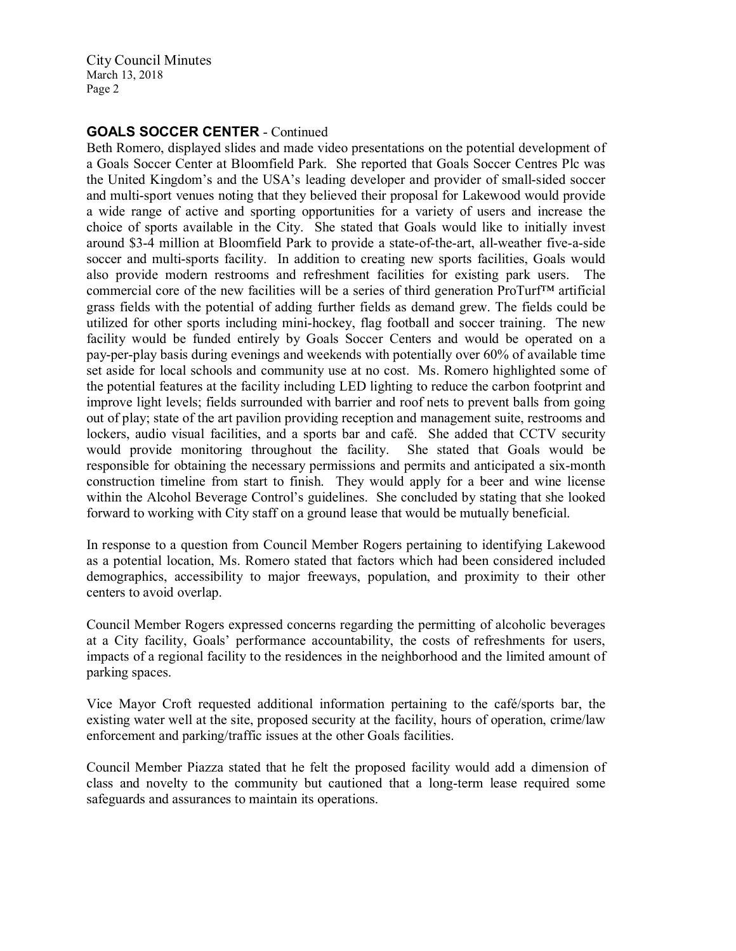## GOALS SOCCER CENTER - Continued

Beth Romero, displayed slides and made video presentations on the potential development of a Goals Soccer Center at Bloomfield Park. She reported that Goals Soccer Centres Plc was the United Kingdom's and the USA's leading developer and provider of small-sided soccer and multi-sport venues noting that they believed their proposal for Lakewood would provide a wide range of active and sporting opportunities for a variety of users and increase the choice of sports available in the City. She stated that Goals would like to initially invest around \$3-4 million at Bloomfield Park to provide a state-of-the-art, all-weather five-a-side soccer and multi-sports facility. In addition to creating new sports facilities, Goals would also provide modern restrooms and refreshment facilities for existing park users. The commercial core of the new facilities will be a series of third generation ProTurf™ artificial grass fields with the potential of adding further fields as demand grew. The fields could be utilized for other sports including mini-hockey, flag football and soccer training. The new facility would be funded entirely by Goals Soccer Centers and would be operated on a pay-per-play basis during evenings and weekends with potentially over 60% of available time set aside for local schools and community use at no cost. Ms. Romero highlighted some of the potential features at the facility including LED lighting to reduce the carbon footprint and improve light levels; fields surrounded with barrier and roof nets to prevent balls from going out of play; state of the art pavilion providing reception and management suite, restrooms and lockers, audio visual facilities, and a sports bar and café. She added that CCTV security would provide monitoring throughout the facility. She stated that Goals would be responsible for obtaining the necessary permissions and permits and anticipated a six-month construction timeline from start to finish. They would apply for a beer and wine license within the Alcohol Beverage Control's guidelines. She concluded by stating that she looked forward to working with City staff on a ground lease that would be mutually beneficial.

In response to a question from Council Member Rogers pertaining to identifying Lakewood as a potential location, Ms. Romero stated that factors which had been considered included demographics, accessibility to major freeways, population, and proximity to their other centers to avoid overlap.

Council Member Rogers expressed concerns regarding the permitting of alcoholic beverages at a City facility, Goals' performance accountability, the costs of refreshments for users, impacts of a regional facility to the residences in the neighborhood and the limited amount of parking spaces.

Vice Mayor Croft requested additional information pertaining to the café/sports bar, the existing water well at the site, proposed security at the facility, hours of operation, crime/law enforcement and parking/traffic issues at the other Goals facilities.

Council Member Piazza stated that he felt the proposed facility would add a dimension of class and novelty to the community but cautioned that a long-term lease required some safeguards and assurances to maintain its operations.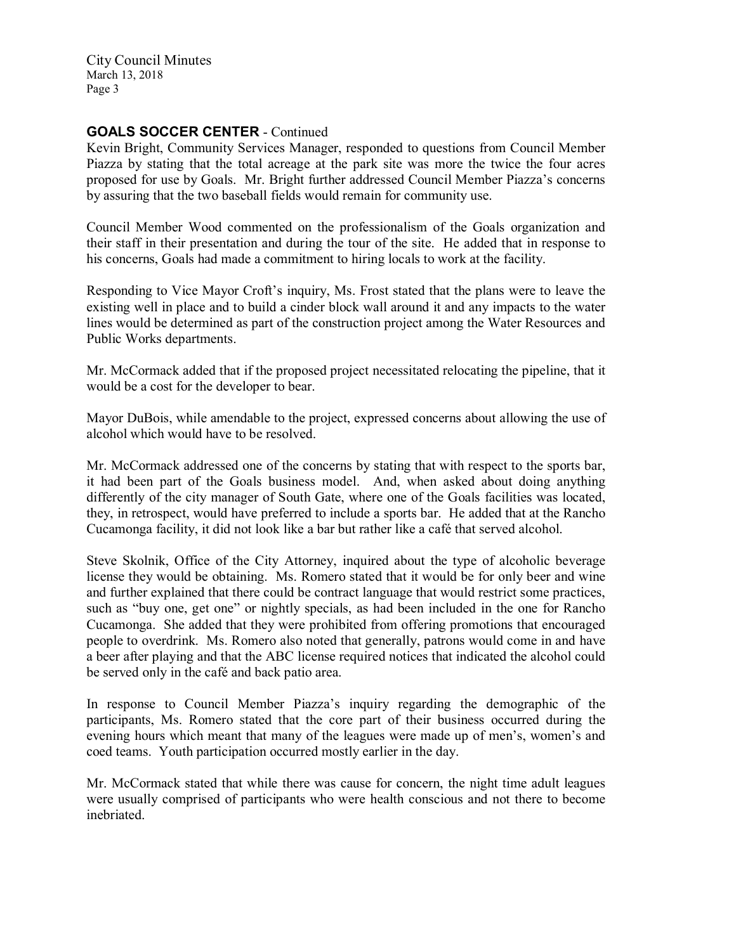## GOALS SOCCER CENTER - Continued

Kevin Bright, Community Services Manager, responded to questions from Council Member Piazza by stating that the total acreage at the park site was more the twice the four acres proposed for use by Goals. Mr. Bright further addressed Council Member Piazza's concerns by assuring that the two baseball fields would remain for community use.

Council Member Wood commented on the professionalism of the Goals organization and their staff in their presentation and during the tour of the site. He added that in response to his concerns, Goals had made a commitment to hiring locals to work at the facility.

Responding to Vice Mayor Croft's inquiry, Ms. Frost stated that the plans were to leave the existing well in place and to build a cinder block wall around it and any impacts to the water lines would be determined as part of the construction project among the Water Resources and Public Works departments.

Mr. McCormack added that if the proposed project necessitated relocating the pipeline, that it would be a cost for the developer to bear.

Mayor DuBois, while amendable to the project, expressed concerns about allowing the use of alcohol which would have to be resolved.

Mr. McCormack addressed one of the concerns by stating that with respect to the sports bar, it had been part of the Goals business model. And, when asked about doing anything differently of the city manager of South Gate, where one of the Goals facilities was located, they, in retrospect, would have preferred to include a sports bar. He added that at the Rancho Cucamonga facility, it did not look like a bar but rather like a café that served alcohol.

Steve Skolnik, Office of the City Attorney, inquired about the type of alcoholic beverage license they would be obtaining. Ms. Romero stated that it would be for only beer and wine and further explained that there could be contract language that would restrict some practices, such as "buy one, get one" or nightly specials, as had been included in the one for Rancho Cucamonga. She added that they were prohibited from offering promotions that encouraged people to overdrink. Ms. Romero also noted that generally, patrons would come in and have a beer after playing and that the ABC license required notices that indicated the alcohol could be served only in the café and back patio area.

In response to Council Member Piazza's inquiry regarding the demographic of the participants, Ms. Romero stated that the core part of their business occurred during the evening hours which meant that many of the leagues were made up of men's, women's and coed teams. Youth participation occurred mostly earlier in the day.

Mr. McCormack stated that while there was cause for concern, the night time adult leagues were usually comprised of participants who were health conscious and not there to become inebriated.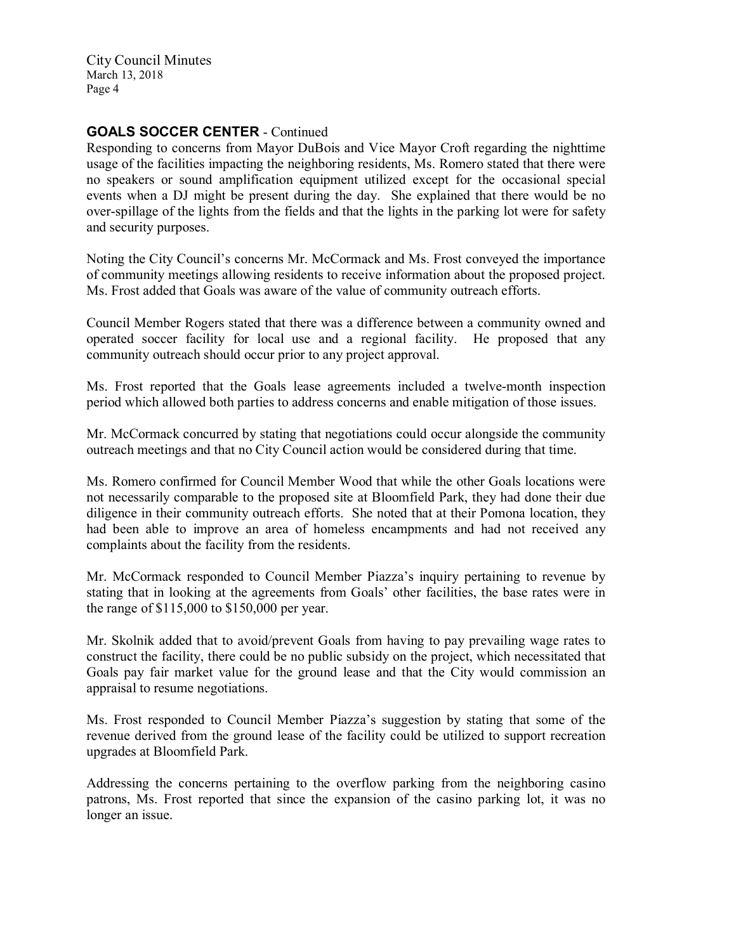## GOALS SOCCER CENTER - Continued

Responding to concerns from Mayor DuBois and Vice Mayor Croft regarding the nighttime usage of the facilities impacting the neighboring residents, Ms. Romero stated that there were no speakers or sound amplification equipment utilized except for the occasional special events when a DJ might be present during the day. She explained that there would be no over-spillage of the lights from the fields and that the lights in the parking lot were for safety and security purposes.

Noting the City Council's concerns Mr. McCormack and Ms. Frost conveyed the importance of community meetings allowing residents to receive information about the proposed project. Ms. Frost added that Goals was aware of the value of community outreach efforts.

Council Member Rogers stated that there was a difference between a community owned and operated soccer facility for local use and a regional facility. He proposed that any community outreach should occur prior to any project approval.

Ms. Frost reported that the Goals lease agreements included a twelve-month inspection period which allowed both parties to address concerns and enable mitigation of those issues.

Mr. McCormack concurred by stating that negotiations could occur alongside the community outreach meetings and that no City Council action would be considered during that time.

Ms. Romero confirmed for Council Member Wood that while the other Goals locations were not necessarily comparable to the proposed site at Bloomfield Park, they had done their due diligence in their community outreach efforts. She noted that at their Pomona location, they had been able to improve an area of homeless encampments and had not received any complaints about the facility from the residents.

Mr. McCormack responded to Council Member Piazza's inquiry pertaining to revenue by stating that in looking at the agreements from Goals' other facilities, the base rates were in the range of \$115,000 to \$150,000 per year.

Mr. Skolnik added that to avoid/prevent Goals from having to pay prevailing wage rates to construct the facility, there could be no public subsidy on the project, which necessitated that Goals pay fair market value for the ground lease and that the City would commission an appraisal to resume negotiations.

Ms. Frost responded to Council Member Piazza's suggestion by stating that some of the revenue derived from the ground lease of the facility could be utilized to support recreation upgrades at Bloomfield Park.

Addressing the concerns pertaining to the overflow parking from the neighboring casino patrons, Ms. Frost reported that since the expansion of the casino parking lot, it was no longer an issue.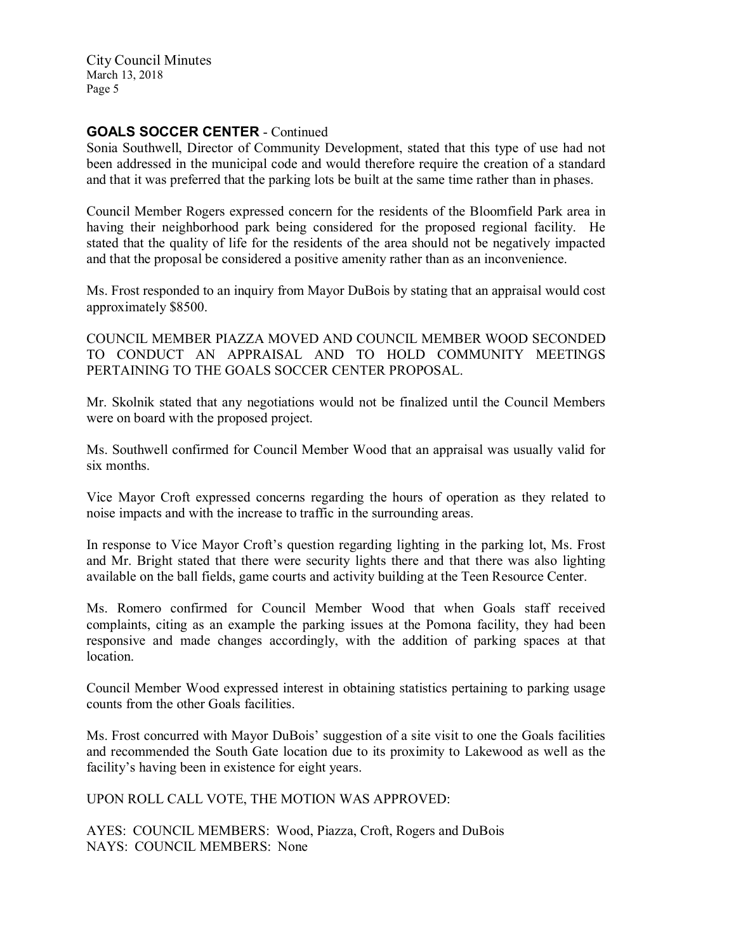## GOALS SOCCER CENTER - Continued

Sonia Southwell, Director of Community Development, stated that this type of use had not been addressed in the municipal code and would therefore require the creation of a standard and that it was preferred that the parking lots be built at the same time rather than in phases.

Council Member Rogers expressed concern for the residents of the Bloomfield Park area in having their neighborhood park being considered for the proposed regional facility. He stated that the quality of life for the residents of the area should not be negatively impacted and that the proposal be considered a positive amenity rather than as an inconvenience.

Ms. Frost responded to an inquiry from Mayor DuBois by stating that an appraisal would cost approximately \$8500.

COUNCIL MEMBER PIAZZA MOVED AND COUNCIL MEMBER WOOD SECONDED TO CONDUCT AN APPRAISAL AND TO HOLD COMMUNITY MEETINGS PERTAINING TO THE GOALS SOCCER CENTER PROPOSAL.

Mr. Skolnik stated that any negotiations would not be finalized until the Council Members were on board with the proposed project.

Ms. Southwell confirmed for Council Member Wood that an appraisal was usually valid for six months.

Vice Mayor Croft expressed concerns regarding the hours of operation as they related to noise impacts and with the increase to traffic in the surrounding areas.

In response to Vice Mayor Croft's question regarding lighting in the parking lot, Ms. Frost and Mr. Bright stated that there were security lights there and that there was also lighting available on the ball fields, game courts and activity building at the Teen Resource Center.

Ms. Romero confirmed for Council Member Wood that when Goals staff received complaints, citing as an example the parking issues at the Pomona facility, they had been responsive and made changes accordingly, with the addition of parking spaces at that **location** 

Council Member Wood expressed interest in obtaining statistics pertaining to parking usage counts from the other Goals facilities.

Ms. Frost concurred with Mayor DuBois' suggestion of a site visit to one the Goals facilities and recommended the South Gate location due to its proximity to Lakewood as well as the facility's having been in existence for eight years.

UPON ROLL CALL VOTE, THE MOTION WAS APPROVED:

AYES: COUNCIL MEMBERS: Wood, Piazza, Croft, Rogers and DuBois NAYS: COUNCIL MEMBERS: None